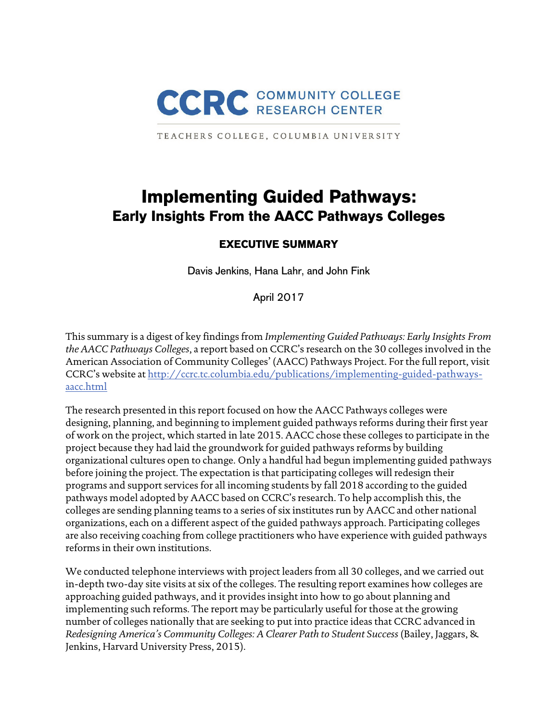

TEACHERS COLLEGE, COLUMBIA UNIVERSITY

# **Implementing Guided Pathways: Early Insights From the AACC Pathways Colleges**

## **EXECUTIVE SUMMARY**

Davis Jenkins, Hana Lahr, and John Fink

April 2017

This summary is a digest of key findings from *Implementing Guided Pathways: Early Insights From the AACC Pathways Colleges*, a report based on CCRC's research on the 30 colleges involved in the American Association of Community Colleges' (AACC) Pathways Project. For the full report, visit CCRC's website at http://ccrc.tc.columbia.edu/publications/implementing-guided-pathwaysaacc.html

The research presented in this report focused on how the AACC Pathways colleges were designing, planning, and beginning to implement guided pathways reforms during their first year of work on the project, which started in late 2015. AACC chose these colleges to participate in the project because they had laid the groundwork for guided pathways reforms by building organizational cultures open to change. Only a handful had begun implementing guided pathways before joining the project. The expectation is that participating colleges will redesign their programs and support services for all incoming students by fall 2018 according to the guided pathways model adopted by AACC based on CCRC's research. To help accomplish this, the colleges are sending planning teams to a series of six institutes run by AACC and other national organizations, each on a different aspect of the guided pathways approach. Participating colleges are also receiving coaching from college practitioners who have experience with guided pathways reforms in their own institutions.

We conducted telephone interviews with project leaders from all 30 colleges, and we carried out in-depth two-day site visits at six of the colleges. The resulting report examines how colleges are approaching guided pathways, and it provides insight into how to go about planning and implementing such reforms. The report may be particularly useful for those at the growing number of colleges nationally that are seeking to put into practice ideas that CCRC advanced in *Redesigning America's Community Colleges: A Clearer Path to Student Success* (Bailey, Jaggars, & Jenkins, Harvard University Press, 2015).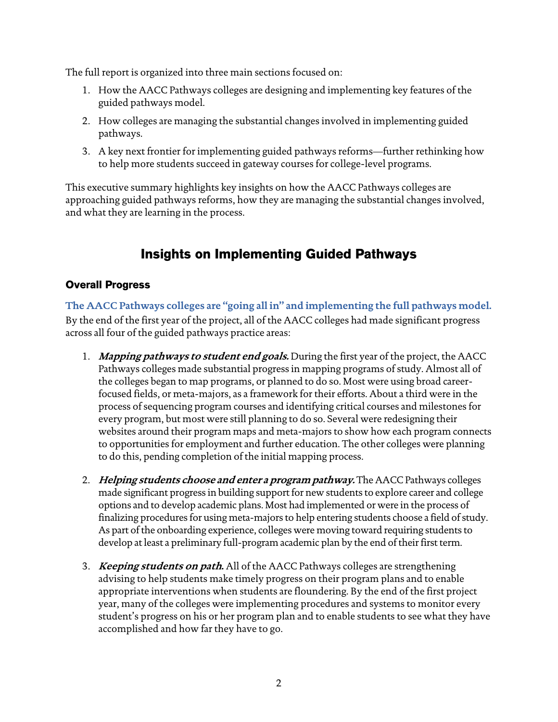The full report is organized into three main sections focused on:

- 1. How the AACC Pathways colleges are designing and implementing key features of the guided pathways model.
- 2. How colleges are managing the substantial changes involved in implementing guided pathways.
- 3. A key next frontier for implementing guided pathways reforms—further rethinking how to help more students succeed in gateway courses for college-level programs.

This executive summary highlights key insights on how the AACC Pathways colleges are approaching guided pathways reforms, how they are managing the substantial changes involved, and what they are learning in the process.

## **Insights on Implementing Guided Pathways**

## **Overall Progress**

**The AACC Pathways colleges are "going all in" and implementing the full pathways model.**  By the end of the first year of the project, all of the AACC colleges had made significant progress across all four of the guided pathways practice areas:

- 1. **Mapping pathways to student end goals.** During the first year of the project, the AACC Pathways colleges made substantial progress in mapping programs of study. Almost all of the colleges began to map programs, or planned to do so. Most were using broad careerfocused fields, or meta-majors, as a framework for their efforts. About a third were in the process of sequencing program courses and identifying critical courses and milestones for every program, but most were still planning to do so. Several were redesigning their websites around their program maps and meta-majors to show how each program connects to opportunities for employment and further education. The other colleges were planning to do this, pending completion of the initial mapping process.
- 2. **Helping students choose and enter a program pathway.** The AACC Pathways colleges made significant progress in building support for new students to explore career and college options and to develop academic plans. Most had implemented or were in the process of finalizing procedures for using meta-majors to help entering students choose a field of study. As part of the onboarding experience, colleges were moving toward requiring students to develop at least a preliminary full-program academic plan by the end of their first term.
- 3. **Keeping students on path.** All of the AACC Pathways colleges are strengthening advising to help students make timely progress on their program plans and to enable appropriate interventions when students are floundering. By the end of the first project year, many of the colleges were implementing procedures and systems to monitor every student's progress on his or her program plan and to enable students to see what they have accomplished and how far they have to go.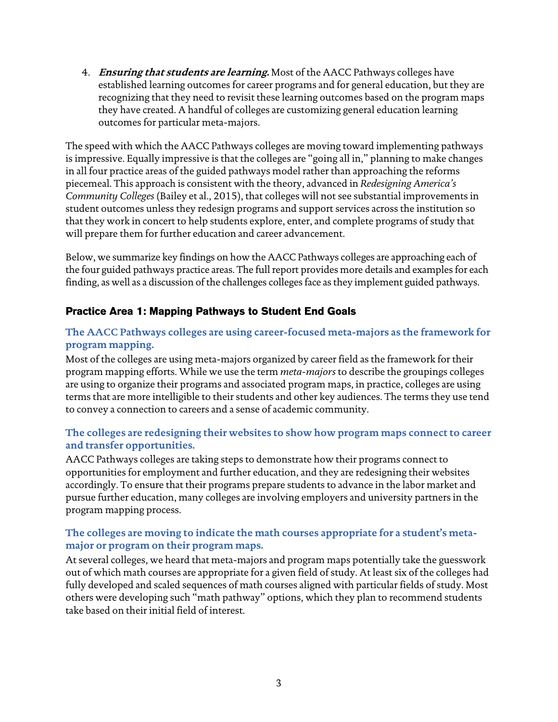4. **Ensuring that students are learning.** Most of the AACC Pathways colleges have established learning outcomes for career programs and for general education, but they are recognizing that they need to revisit these learning outcomes based on the program maps they have created. A handful of colleges are customizing general education learning outcomes for particular meta-majors.

The speed with which the AACC Pathways colleges are moving toward implementing pathways is impressive. Equally impressive is that the colleges are "going all in," planning to make changes in all four practice areas of the guided pathways model rather than approaching the reforms piecemeal. This approach is consistent with the theory, advanced in *Redesigning America's Community Colleges* (Bailey et al., 2015), that colleges will not see substantial improvements in student outcomes unless they redesign programs and support services across the institution so that they work in concert to help students explore, enter, and complete programs of study that will prepare them for further education and career advancement.

Below, we summarize key findings on how the AACC Pathways colleges are approaching each of the four guided pathways practice areas. The full report provides more details and examples for each finding, as well as a discussion of the challenges colleges face as they implement guided pathways.

### **Practice Area 1: Mapping Pathways to Student End Goals**

### **The AACC Pathways colleges are using career-focused meta-majors as the framework for program mapping.**

Most of the colleges are using meta-majors organized by career field as the framework for their program mapping efforts. While we use the term *meta-majors* to describe the groupings colleges are using to organize their programs and associated program maps, in practice, colleges are using terms that are more intelligible to their students and other key audiences. The terms they use tend to convey a connection to careers and a sense of academic community.

#### **The colleges are redesigning their websites to show how program maps connect to career and transfer opportunities.**

AACC Pathways colleges are taking steps to demonstrate how their programs connect to opportunities for employment and further education, and they are redesigning their websites accordingly. To ensure that their programs prepare students to advance in the labor market and pursue further education, many colleges are involving employers and university partners in the program mapping process.

#### **The colleges are moving to indicate the math courses appropriate for a student's metamajor or program on their program maps.**

At several colleges, we heard that meta-majors and program maps potentially take the guesswork out of which math courses are appropriate for a given field of study. At least six of the colleges had fully developed and scaled sequences of math courses aligned with particular fields of study. Most others were developing such "math pathway" options, which they plan to recommend students take based on their initial field of interest.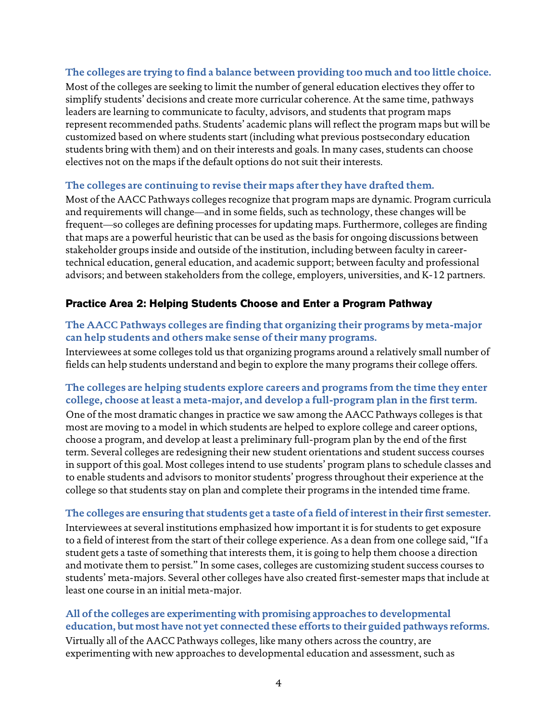#### **The colleges are trying to find a balance between providing too much and too little choice.**

Most of the colleges are seeking to limit the number of general education electives they offer to simplify students' decisions and create more curricular coherence. At the same time, pathways leaders are learning to communicate to faculty, advisors, and students that program maps represent recommended paths. Students' academic plans will reflect the program maps but will be customized based on where students start (including what previous postsecondary education students bring with them) and on their interests and goals. In many cases, students can choose electives not on the maps if the default options do not suit their interests.

#### **The colleges are continuing to revise their maps after they have drafted them.**

Most of the AACC Pathways colleges recognize that program maps are dynamic. Program curricula and requirements will change—and in some fields, such as technology, these changes will be frequent—so colleges are defining processes for updating maps. Furthermore, colleges are finding that maps are a powerful heuristic that can be used as the basis for ongoing discussions between stakeholder groups inside and outside of the institution, including between faculty in careertechnical education, general education, and academic support; between faculty and professional advisors; and between stakeholders from the college, employers, universities, and K-12 partners.

#### **Practice Area 2: Helping Students Choose and Enter a Program Pathway**

#### **The AACC Pathways colleges are finding that organizing their programs by meta-major can help students and others make sense of their many programs.**

Interviewees at some colleges told us that organizing programs around a relatively small number of fields can help students understand and begin to explore the many programs their college offers.

#### **The colleges are helping students explore careers and programs from the time they enter college, choose at least a meta-major, and develop a full-program plan in the first term.**

One of the most dramatic changes in practice we saw among the AACC Pathways colleges is that most are moving to a model in which students are helped to explore college and career options, choose a program, and develop at least a preliminary full-program plan by the end of the first term. Several colleges are redesigning their new student orientations and student success courses in support of this goal. Most colleges intend to use students' program plans to schedule classes and to enable students and advisors to monitor students' progress throughout their experience at the college so that students stay on plan and complete their programs in the intended time frame.

#### **The colleges are ensuring that students get a taste of a field of interest in their first semester.**

Interviewees at several institutions emphasized how important it is for students to get exposure to a field of interest from the start of their college experience. As a dean from one college said, "If a student gets a taste of something that interests them, it is going to help them choose a direction and motivate them to persist." In some cases, colleges are customizing student success courses to students' meta-majors. Several other colleges have also created first-semester maps that include at least one course in an initial meta-major.

#### **All of the colleges are experimenting with promising approaches to developmental education, but most have not yet connected these efforts to their guided pathways reforms.**

Virtually all of the AACC Pathways colleges, like many others across the country, are experimenting with new approaches to developmental education and assessment, such as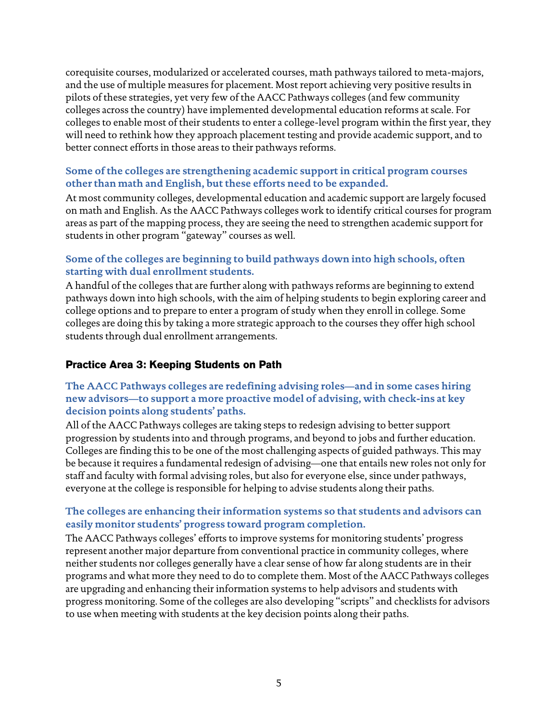corequisite courses, modularized or accelerated courses, math pathways tailored to meta-majors, and the use of multiple measures for placement. Most report achieving very positive results in pilots of these strategies, yet very few of the AACC Pathways colleges (and few community colleges across the country) have implemented developmental education reforms at scale. For colleges to enable most of their students to enter a college-level program within the first year, they will need to rethink how they approach placement testing and provide academic support, and to better connect efforts in those areas to their pathways reforms.

#### **Some of the colleges are strengthening academic support in critical program courses other than math and English, but these efforts need to be expanded.**

At most community colleges, developmental education and academic support are largely focused on math and English. As the AACC Pathways colleges work to identify critical courses for program areas as part of the mapping process, they are seeing the need to strengthen academic support for students in other program "gateway" courses as well.

#### **Some of the colleges are beginning to build pathways down into high schools, often starting with dual enrollment students.**

A handful of the colleges that are further along with pathways reforms are beginning to extend pathways down into high schools, with the aim of helping students to begin exploring career and college options and to prepare to enter a program of study when they enroll in college. Some colleges are doing this by taking a more strategic approach to the courses they offer high school students through dual enrollment arrangements.

## **Practice Area 3: Keeping Students on Path**

### **The AACC Pathways colleges are redefining advising roles—and in some cases hiring new advisors—to support a more proactive model of advising, with check-ins at key decision points along students' paths.**

All of the AACC Pathways colleges are taking steps to redesign advising to better support progression by students into and through programs, and beyond to jobs and further education. Colleges are finding this to be one of the most challenging aspects of guided pathways. This may be because it requires a fundamental redesign of advising—one that entails new roles not only for staff and faculty with formal advising roles, but also for everyone else, since under pathways, everyone at the college is responsible for helping to advise students along their paths.

#### **The colleges are enhancing their information systems so that students and advisors can easily monitor students' progress toward program completion.**

The AACC Pathways colleges' efforts to improve systems for monitoring students' progress represent another major departure from conventional practice in community colleges, where neither students nor colleges generally have a clear sense of how far along students are in their programs and what more they need to do to complete them. Most of the AACC Pathways colleges are upgrading and enhancing their information systems to help advisors and students with progress monitoring. Some of the colleges are also developing "scripts" and checklists for advisors to use when meeting with students at the key decision points along their paths.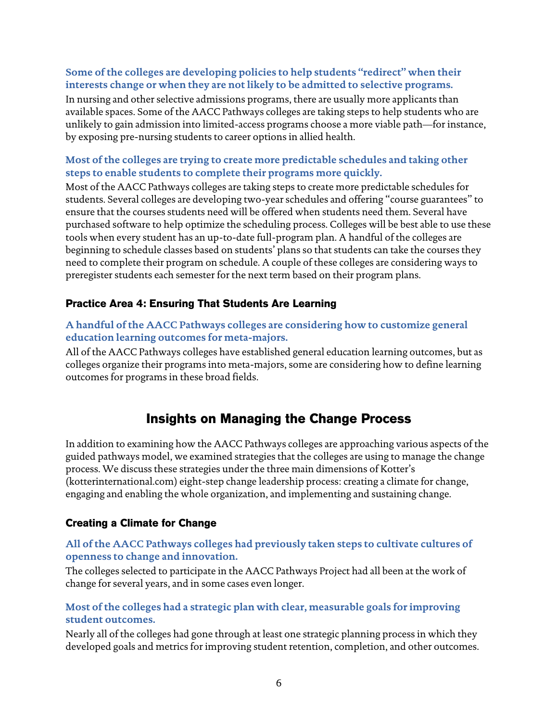#### **Some of the colleges are developing policies to help students "redirect" when their interests change or when they are not likely to be admitted to selective programs.**

In nursing and other selective admissions programs, there are usually more applicants than available spaces. Some of the AACC Pathways colleges are taking steps to help students who are unlikely to gain admission into limited-access programs choose a more viable path—for instance, by exposing pre-nursing students to career options in allied health.

#### **Most of the colleges are trying to create more predictable schedules and taking other steps to enable students to complete their programs more quickly.**

Most of the AACC Pathways colleges are taking steps to create more predictable schedules for students. Several colleges are developing two-year schedules and offering "course guarantees" to ensure that the courses students need will be offered when students need them. Several have purchased software to help optimize the scheduling process. Colleges will be best able to use these tools when every student has an up-to-date full-program plan. A handful of the colleges are beginning to schedule classes based on students' plans so that students can take the courses they need to complete their program on schedule. A couple of these colleges are considering ways to preregister students each semester for the next term based on their program plans.

### **Practice Area 4: Ensuring That Students Are Learning**

#### **A handful of the AACC Pathways colleges are considering how to customize general education learning outcomes for meta-majors.**

All of the AACC Pathways colleges have established general education learning outcomes, but as colleges organize their programs into meta-majors, some are considering how to define learning outcomes for programs in these broad fields.

## **Insights on Managing the Change Process**

In addition to examining how the AACC Pathways colleges are approaching various aspects of the guided pathways model, we examined strategies that the colleges are using to manage the change process. We discuss these strategies under the three main dimensions of Kotter's (kotterinternational.com) eight-step change leadership process: creating a climate for change, engaging and enabling the whole organization, and implementing and sustaining change.

#### **Creating a Climate for Change**

#### **All of the AACC Pathways colleges had previously taken steps to cultivate cultures of openness to change and innovation.**

The colleges selected to participate in the AACC Pathways Project had all been at the work of change for several years, and in some cases even longer.

#### **Most of the colleges had a strategic plan with clear, measurable goals for improving student outcomes.**

Nearly all of the colleges had gone through at least one strategic planning process in which they developed goals and metrics for improving student retention, completion, and other outcomes.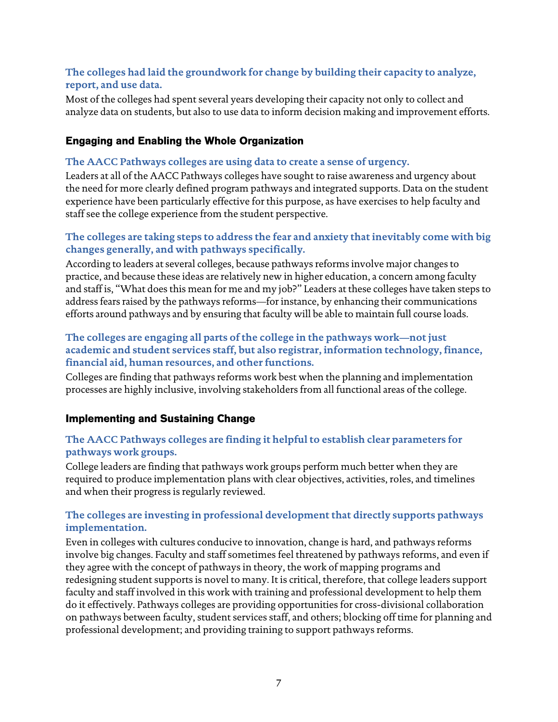#### **The colleges had laid the groundwork for change by building their capacity to analyze, report, and use data.**

Most of the colleges had spent several years developing their capacity not only to collect and analyze data on students, but also to use data to inform decision making and improvement efforts.

## **Engaging and Enabling the Whole Organization**

#### **The AACC Pathways colleges are using data to create a sense of urgency.**

Leaders at all of the AACC Pathways colleges have sought to raise awareness and urgency about the need for more clearly defined program pathways and integrated supports. Data on the student experience have been particularly effective for this purpose, as have exercises to help faculty and staff see the college experience from the student perspective.

#### **The colleges are taking steps to address the fear and anxiety that inevitably come with big changes generally, and with pathways specifically.**

According to leaders at several colleges, because pathways reforms involve major changes to practice, and because these ideas are relatively new in higher education, a concern among faculty and staff is, "What does this mean for me and my job?" Leaders at these colleges have taken steps to address fears raised by the pathways reforms—for instance, by enhancing their communications efforts around pathways and by ensuring that faculty will be able to maintain full course loads.

#### **The colleges are engaging all parts of the college in the pathways work—not just academic and student services staff, but also registrar, information technology, finance, financial aid, human resources, and other functions.**

Colleges are finding that pathways reforms work best when the planning and implementation processes are highly inclusive, involving stakeholders from all functional areas of the college.

#### **Implementing and Sustaining Change**

#### **The AACC Pathways colleges are finding it helpful to establish clear parameters for pathways work groups.**

College leaders are finding that pathways work groups perform much better when they are required to produce implementation plans with clear objectives, activities, roles, and timelines and when their progress is regularly reviewed.

#### **The colleges are investing in professional development that directly supports pathways implementation.**

Even in colleges with cultures conducive to innovation, change is hard, and pathways reforms involve big changes. Faculty and staff sometimes feel threatened by pathways reforms, and even if they agree with the concept of pathways in theory, the work of mapping programs and redesigning student supports is novel to many. It is critical, therefore, that college leaders support faculty and staff involved in this work with training and professional development to help them do it effectively. Pathways colleges are providing opportunities for cross-divisional collaboration on pathways between faculty, student services staff, and others; blocking off time for planning and professional development; and providing training to support pathways reforms.